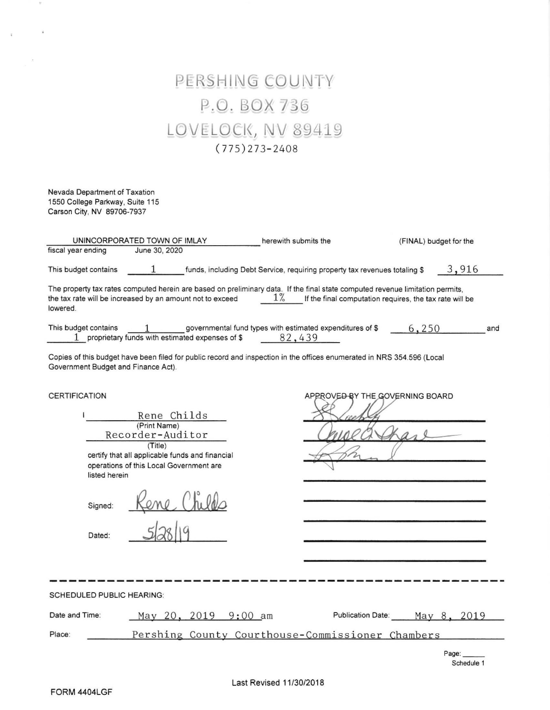# PERSHING COUNTY P.O. BOX 736 LOVELOCK, NV 89419  $(775)273 - 2408$

Nevada Department of Taxation 1550 College Parkway, Sujte 115 Cerson City, NV 89706-7937

 $\overline{u}$ 

| UNINCORPORATED TOWN OF IMLAY                                                                                                                                                                           | herewith submits the                                                       | (FINAL) budget for the                                  |
|--------------------------------------------------------------------------------------------------------------------------------------------------------------------------------------------------------|----------------------------------------------------------------------------|---------------------------------------------------------|
| fiscal year ending<br>June 30, 2020                                                                                                                                                                    |                                                                            |                                                         |
| This budget contains                                                                                                                                                                                   | funds, including Debt Service, requiring property tax revenues totaling \$ | 3,916                                                   |
| The property tax rates computed herein are based on preliminary data. If the final state computed revenue limitation permits,<br>the tax rate will be increased by an amount not to exceed<br>lowered. | $1\%$                                                                      | If the final computation requires, the tax rate will be |
| This budget contains<br>proprietary funds with estimated expenses of \$                                                                                                                                | governmental fund types with estimated expenditures of \$<br>82,439        | 6,250<br>and                                            |
| Copies of this budget have been filed for public record and inspection in the offices enumerated in NRS 354.596 (Local<br>Government Budget and Finance Act).                                          |                                                                            |                                                         |
| <b>CERTIFICATION</b>                                                                                                                                                                                   |                                                                            | APPROVED BY THE GOVERNING BOARD                         |
| Rene Childs                                                                                                                                                                                            |                                                                            |                                                         |
| (Print Name)<br>Recorder-Auditor                                                                                                                                                                       |                                                                            |                                                         |
| (Title)                                                                                                                                                                                                |                                                                            |                                                         |
| certify that all applicable funds and financial                                                                                                                                                        |                                                                            |                                                         |

operations of this Local Government are listed herein

| Signed: | $h_{\rm L}$ |
|---------|-------------|
| Dated:  | 19. I       |

| Mise | reep |            |  |
|------|------|------------|--|
|      |      | $\sqrt{ }$ |  |
|      |      |            |  |

| <b>SCHEDULED PUBLIC HEARING:</b> |                      |                                                  |                          |             |
|----------------------------------|----------------------|--------------------------------------------------|--------------------------|-------------|
| Date and Time:                   | May 20, 2019 9:00 am |                                                  | <b>Publication Date:</b> | May 8, 2019 |
| Place:                           |                      | Pershing County Courthouse-Commissioner Chambers |                          |             |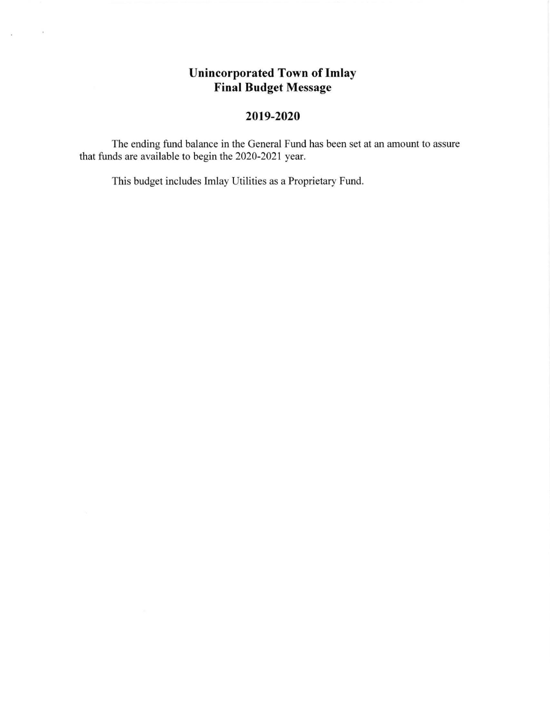## Unincorporated Town of Imlay Final Budget Message

## 2019-2020

The ending fund balance in the General Fund has been set at an amount to assure that funds are available to begin the 2020-2021 year.

This budget includes Imlay Utilities as a Proprietary Fund.

 $\Delta$  -  $\Delta$  -  $\Delta$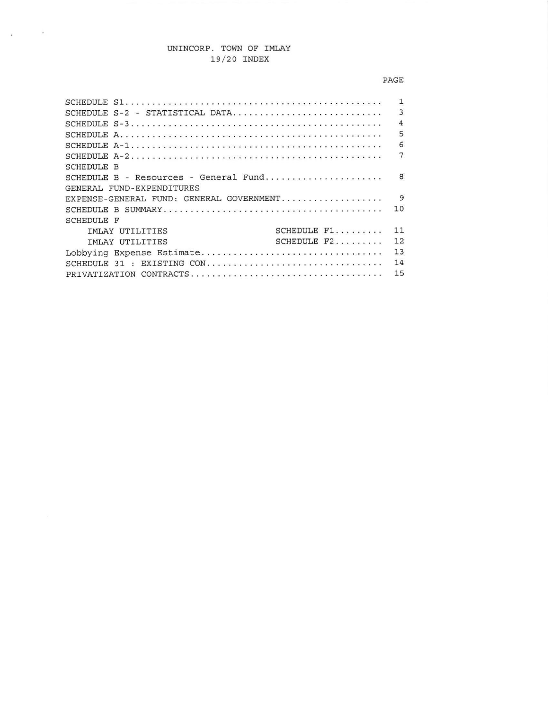### UNINCORP. TOWN OF IMLAY 19/20 INDEX

 $\mathbf{x} = (1, \ldots, 1)$ 

#### $\ensuremath{\mathsf{PAGE}}$

|                                          | 1              |
|------------------------------------------|----------------|
| SCHEDULE S-2 - STATISTICAL DATA          | 3              |
|                                          | $\overline{4}$ |
|                                          | 5              |
|                                          | 6              |
|                                          | 7              |
| SCHEDULE B                               |                |
| SCHEDULE B - Resources - General Fund    | 8              |
| GENERAL FUND-EXPENDITURES                |                |
| EXPENSE-GENERAL FUND: GENERAL GOVERNMENT | 9              |
|                                          | 10             |
| <b>SCHEDULE F</b>                        |                |
| SCHEDULE F1<br>IMLAY UTILITIES           | 11             |
| SCHEDULE $F2$<br><b>IMLAY UTILITIES</b>  | 12             |
| Lobbying Expense Estimate                | 13             |
| SCHEDULE 31 : EXISTING CON               | 14             |
|                                          | 15             |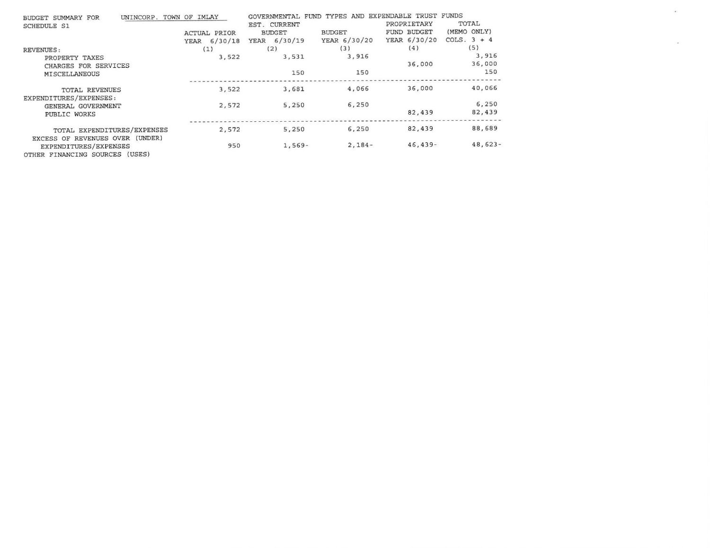| UNINCORP.<br>BUDGET SUMMARY FOR                                                            | TOWN OF IMLAY       | GOVERNMENTAL  | FUND TYPES AND EXPENDABLE TRUST FUNDS |              |               |
|--------------------------------------------------------------------------------------------|---------------------|---------------|---------------------------------------|--------------|---------------|
| <b>SCHEDULE S1</b>                                                                         |                     | EST. CURRENT  |                                       | PROPRIETARY  | TOTAL         |
|                                                                                            | <b>ACTUAL PRIOR</b> | <b>BUDGET</b> | <b>BUDGET</b>                         | FUND BUDGET  | (MEMO ONLY)   |
|                                                                                            | YEAR 6/30/18        | YEAR 6/30/19  | YEAR 6/30/20                          | YEAR 6/30/20 | COLS. $3 + 4$ |
| <b>REVENUES:</b>                                                                           | (1)                 | (2)           | (3)                                   | (4)          | (5)           |
| PROPERTY TAXES                                                                             | 3,522               | 3,531         | 3,916                                 |              | 3,916         |
| CHARGES FOR SERVICES                                                                       |                     |               |                                       | 36,000       | 36,000        |
| MISCELLANEOUS                                                                              |                     | 150           | 150                                   |              | 150           |
| TOTAL REVENUES                                                                             | 3,522               | 3,681         | 4,066                                 | 36,000       | 40,066        |
| EXPENDITURES/EXPENSES:<br>GENERAL GOVERNMENT                                               | 2,572               | 5,250         | 6,250                                 |              | 6,250         |
| PUBLIC WORKS                                                                               |                     |               |                                       | 82,439       | 82,439        |
| TOTAL EXPENDITURES/EXPENSES                                                                | 2,572               | 5,250         | 6,250                                 | 82,439       | 88,689        |
| EXCESS OF REVENUES OVER (UNDER)<br>EXPENDITURES/EXPENSES<br>OTHER FINANCING SOURCES (USES) | 950                 | $1,569-$      | $2,184-$                              | $46, 439 -$  | $48,623-$     |

 $\langle\langle\langle\mathbf{w}\rangle\rangle\rangle$ 

 $\sim 1000$  .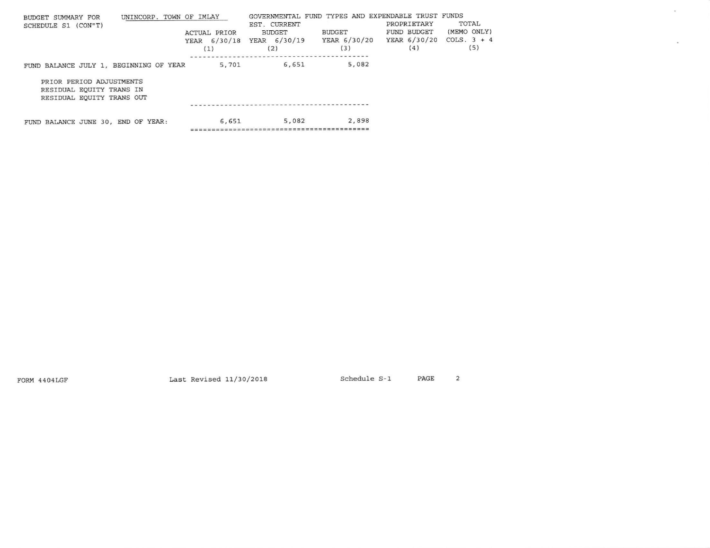| UNINCORP. TOWN OF IMLAY<br>BUDGET SUMMARY FOR<br>SCHEDULE S1 (CON"T)              | <b>ACTUAL PRIOR</b><br>YEAR 6/30/18 | GOVERNMENTAL FUND TYPES AND EXPENDABLE TRUST FUNDS<br>EST. CURRENT<br><b>BUDGET</b><br>YEAR 6/30/19 YEAR 6/30/20 | <b>BUDGET</b> | PROPRIETARY<br>FUND BUDGET<br>YEAR 6/30/20 | TOTAL<br>(MEMO ONLY)<br>COLS. $3 + 4$ |  |
|-----------------------------------------------------------------------------------|-------------------------------------|------------------------------------------------------------------------------------------------------------------|---------------|--------------------------------------------|---------------------------------------|--|
|                                                                                   |                                     | (2)                                                                                                              | (3)           | (4)                                        | (5)                                   |  |
| FUND BALANCE JULY 1, BEGINNING OF YEAR                                            | 5,701                               | 6,651                                                                                                            | 5,082         |                                            |                                       |  |
| PRIOR PERIOD ADJUSTMENTS<br>RESIDUAL EQUITY TRANS IN<br>RESIDUAL EQUITY TRANS OUT |                                     |                                                                                                                  |               |                                            |                                       |  |
|                                                                                   |                                     |                                                                                                                  |               |                                            |                                       |  |
| FUND BALANCE JUNE 30, END OF YEAR:                                                | 6,651                               | 5,082                                                                                                            | 2,898         |                                            |                                       |  |
|                                                                                   |                                     |                                                                                                                  |               |                                            |                                       |  |

FORM 4404LGF

Last Revised  $11/30/2018$  Schedule S-1 PAGE 2

 $\kappa$ 

 $\kappa$